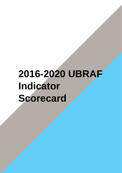## **2016-2020 UBRAF Indicator Scorecard**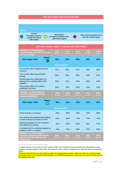## **2016-2019 UBRAF INDICATOR SCORECARD**

| Legend $1$                                                                                                                                                                                                                                                  |               |                           |                                                      |                  |                  |                  |  |  |
|-------------------------------------------------------------------------------------------------------------------------------------------------------------------------------------------------------------------------------------------------------------|---------------|---------------------------|------------------------------------------------------|------------------|------------------|------------------|--|--|
| On track<br><b>Slow progress</b><br>Not on track (% progress is less<br>(% progress is equal or<br>$\color{blue}\blacklozenge$<br>(% progress is between 75% -<br>than 50% of 2021 targets)<br>greater than 75% of<br>50% of 2021 targets)<br>2021 targets) |               |                           |                                                      |                  |                  |                  |  |  |
|                                                                                                                                                                                                                                                             |               |                           |                                                      |                  |                  |                  |  |  |
|                                                                                                                                                                                                                                                             |               |                           | <b>STRATEGY RESULT AREA 1: TESTING AND TREATMENT</b> |                  |                  |                  |  |  |
| Indicator 1.1: Percentage of<br>countries with selected HIV testing<br>services in place                                                                                                                                                                    |               | 2016<br>$[N=87]$          | 2017<br>$[N=87]$                                     | 2018<br>$[N=87]$ | 2019<br>$[N=87]$ | 2020<br>$[N=87]$ |  |  |
| 2021 target-90%                                                                                                                                                                                                                                             | Status*       | 54%                       | 61%                                                  | 59%              | 64%              | 68%              |  |  |
|                                                                                                                                                                                                                                                             |               | Measurements <sup>2</sup> |                                                      |                  |                  |                  |  |  |
| The country offers targeted testing<br>services                                                                                                                                                                                                             |               | 97%                       | 95%                                                  | 97%              | 99%              | 98%              |  |  |
| The country offers lay providers<br>testing                                                                                                                                                                                                                 |               | 86%                       | 86%                                                  | 86%              | 84%              | 87%              |  |  |
| Quality assurance (laboratory) of<br>testing and re-testing before ART<br>initiation                                                                                                                                                                        |               | 92%                       | 97%                                                  | 94%              | 95%              | 92%              |  |  |
| The country offers HIV partner<br>notification services                                                                                                                                                                                                     |               | 64%                       | 70%                                                  | 69%              | 78%              | 82%              |  |  |
| Indicator 1.2: Percentage of<br>countries adopting WHO HIV<br>treatment guidelines                                                                                                                                                                          |               | 2016<br>$[N=87]$          | 2017<br>$[N=87]$                                     | 2018<br>$[N=87]$ | 2019<br>$[N=87]$ | 2020<br>$[N=87]$ |  |  |
| 2021 target-80%                                                                                                                                                                                                                                             | <b>Status</b> | 38%                       | 53%                                                  | 54%              | 61%              | 66%              |  |  |
|                                                                                                                                                                                                                                                             |               | <b>Measurements</b>       |                                                      |                  |                  |                  |  |  |
| Treat All policy is adopted                                                                                                                                                                                                                                 |               | 64%                       | 80%                                                  | 94%              | 93%              | 99%              |  |  |
| The country has adopted task shifting<br>or task sharing in provision of ART                                                                                                                                                                                |               | 65%                       | 69%                                                  | 70%              | 76%              | 76%              |  |  |
| Policies/strategies for ART retention<br>and adherence in place                                                                                                                                                                                             |               | 91%                       | 94%                                                  | 90%              | 95%              | 97%              |  |  |
| A programme for nutritional support to<br>people on ART is in place                                                                                                                                                                                         |               | 74%                       | 75%                                                  | 69%              | 76%              | 83%              |  |  |
| Indicator 1.3: Percentage of<br>countries adopting quality health-<br>care services for children and<br>adolescents                                                                                                                                         |               | 2016<br>$[N=87]$          | 2017<br>$[N=87]$                                     | 2018<br>$[N=87]$ | 2019<br>$[N=87]$ | 2020<br>$[N=87]$ |  |  |

 $1$  Analysis based on the same set of 87 countries (with Joint Programme presence) that have participated in data collection annually between 2016-2020. This allows for each country's progress to be observed and to demonstrate trends.

 $^2$  Multiple measurements for each indicator allow for disaggregated analysis, which can help with comparing data and relationships for components of the indicator; and revising components, if necessary, to ensure the relevance of the indicator over time.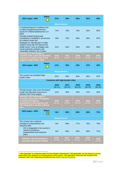| 2021 target-90%                                                                                                                                                                               | <b>Status</b> | <b>51%</b>          | 55%                                      | 55%              | 56%              | 59%              |  |  |  |
|-----------------------------------------------------------------------------------------------------------------------------------------------------------------------------------------------|---------------|---------------------|------------------------------------------|------------------|------------------|------------------|--|--|--|
| <b>Measurements</b>                                                                                                                                                                           |               |                     |                                          |                  |                  |                  |  |  |  |
| A strategy/measure to address loss<br>to follow up/adherence/retention<br>issues for children/adolescents is in<br>place                                                                      |               | 74%                 | 78%                                      | 79%              | 82%              | 80%              |  |  |  |
| Provider-initiated testing and<br>counselling is available in all services<br>for children under five <sup>3</sup>                                                                            |               | 78%                 | 79%                                      | 80%              | 86%              | 87%              |  |  |  |
| Strategies for identification of older<br>children living with HIV beyond the<br>health sector, such as linkages with<br>social protection (orphans and<br>vulnerable children), are in place |               | 61%                 | 62%                                      | 64%              | 63%              | 66%              |  |  |  |
| Indicator 1.4: Percentage of<br>countries with a plan and allocated<br>resources to achieve Fast-Track<br>targets in high-burden cities                                                       |               | 2016<br>$[N=87]$    | 2017<br>$[N=87]$                         | 2018<br>$[N=87]$ | 2019<br>$[N=87]$ | 2020<br>$[N=87]$ |  |  |  |
| 2021 target-90%                                                                                                                                                                               | <b>Status</b> | 21%                 | 30%                                      | 33%              | 37%              | 45%              |  |  |  |
| <b>Measurements</b>                                                                                                                                                                           |               |                     |                                          |                  |                  |                  |  |  |  |
| The country has identified high-<br>burden cities                                                                                                                                             |               | 82%                 | 84%                                      | 83%              | 86%              | 87%              |  |  |  |
|                                                                                                                                                                                               |               |                     | <b>Countries with high-burden cities</b> |                  |                  |                  |  |  |  |
|                                                                                                                                                                                               |               | 2016<br>$[N=71]$    | 2017<br>$[N=73]$                         | 2018<br>$[N=72]$ | 2019<br>$[N=75]$ | 2020<br>$[N=76]$ |  |  |  |
| All high-burden cities have developed<br>a plan and allocated resources to<br>achieve Fast-Track targets                                                                                      |               | 21%                 | 30%                                      | 33%              | 37%              | 45%              |  |  |  |
| Indicator 1.5a: Percentage of<br>countries where HIV is integrated<br>in national emergency<br>preparedness and response and<br><b>HIV integrated in country national</b><br>pian             |               | 2016<br>$[N=87]$    | 2017<br>$[N=87]$                         | 2018<br>[N=87]   | 2019<br>$[N=87]$ | 2020<br>$[N=87]$ |  |  |  |
| 2021 target - 90%                                                                                                                                                                             | <b>Status</b> | N/A                 | 66%                                      | 66%              | 68%              | 72%              |  |  |  |
|                                                                                                                                                                                               |               | <b>Measurements</b> |                                          |                  |                  |                  |  |  |  |
| The country has a national<br>emergency preparedness and<br>response plan                                                                                                                     |               | N/A                 | 68%                                      | 77%              | 78%              | 78%              |  |  |  |
| HIV is integrated in the country's<br>national emergency<br>preparedness and response<br>plans                                                                                                |               | N/A                 | 66%                                      | 66%              | 68%              | 72%              |  |  |  |
| Indicator 1.5b: Percentage of<br>countries offering HIV-related                                                                                                                               |               | 2016<br>$[N=48]$    | 2017<br>$[N=46]$                         | 2018<br>$[N=51]$ | 2019<br>$[N=59]$ | 2020<br>$[N=61]$ |  |  |  |

 $3$  "Not Applicable" is a response option for this indicator measurement. "Not applicable" can be chosen by country respondents if the epidemic is not generalised in their country. "Not applicable" responses are included in the numerator (with "yes" responses) as defined in th[e UBRAF Indicator Guidance.](https://unaids.sharepoint.com/:b:/s/FSPFA/EagVZO0_fjFItu45olm99JMBcphSxuMERxn_-3PJBkST9A?e=wpnweg)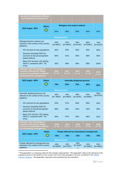| services for populations affected<br>by humanitarian emergencies <sup>4</sup>                                                       |               |                      |                    |                                     |                                             |                    |
|-------------------------------------------------------------------------------------------------------------------------------------|---------------|----------------------|--------------------|-------------------------------------|---------------------------------------------|--------------------|
|                                                                                                                                     | <b>Status</b> |                      |                    | <b>Refugees and asylum seekers</b>  |                                             |                    |
| 2021 target-90%                                                                                                                     |               | 85%                  | 89%                | 80%                                 | 90%                                         | 93%                |
|                                                                                                                                     |               | <b>Measurements</b>  |                    |                                     |                                             |                    |
| Refugees/asylum seekers are<br>relevant in the context of the country<br>epidemic                                                   |               | 55%<br>$[N=48/87]$   | 53%<br>$[N=46/87]$ | 59%<br>$[N=51/87]$                  | 68%<br>$[N=59/87]$                          | 70%<br>$[N=61/87]$ |
| HIV services for key populations                                                                                                    |               | 90%                  | 93%                | 86%                                 | 93%                                         | 98%                |
| Services (including PEP) for<br>survivors of sexual and gender-<br>based violence                                                   |               | 90%                  | 91%                | 90%                                 | 98%                                         | 95%                |
| Basic HIV services: HIV testing,<br>PMTCT, treatment (ART, TB,<br>STI <sub>s</sub> )                                                |               | 92%                  | 98%                | 98%                                 | 98%                                         | 100%               |
| Indicator 1.5b: Percentage of<br>countries offering HIV-related<br>services for populations affected<br>by humanitarian emergencies |               | 2016<br>$[N=40]$     | 2017<br>$[N=38]$   | 2018<br>$[N=42]$                    | 2019<br>$[N=48]$                            | 2019<br>$[N=51]$   |
| 2021 target-90%                                                                                                                     | <b>Status</b> |                      |                    | <b>Internally displaced persons</b> |                                             |                    |
|                                                                                                                                     |               |                      |                    |                                     |                                             |                    |
|                                                                                                                                     |               | 78%                  | 84%                | 79%                                 | 88%                                         | 86%                |
|                                                                                                                                     |               | <b>Measurements</b>  |                    |                                     |                                             |                    |
| Internally displaced persons are<br>relevant in the context of the country<br>epidemic                                              |               | 46%<br>$[N = 40/87]$ | 44%<br>$[N=38/87]$ | 48%<br>$[N=42/87]$                  | 55%<br>$[N=48/87]$                          | 59%<br>$[N=51/87]$ |
| HIV services for key populations                                                                                                    |               | 93%                  | 97%                | 86%                                 | 96%                                         | 94%                |
| Services (including PEP) for<br>survivors of sexual and gender-<br>based violence                                                   |               | 88%                  | 89%                | 93%                                 | 94%                                         | 98%                |
| Basic HIV services: HIV testing,<br>PMTCT, treatment (ART, TB,<br>STI <sub>s</sub> )                                                |               | 95%                  | 97%                | 95%                                 | 96%                                         | 92%                |
| Indicator 1.5b: Percentage of<br>countries offering HIV-related<br>services for populations affected<br>by humanitarian emergencies |               | 2016<br>$[N=40]$     | 2017<br>$[N=37]$   | 2018<br>$[N=43]$                    | 2019<br>$[N=46]$                            | 2020<br>$[N=48]$   |
|                                                                                                                                     | <b>Status</b> |                      |                    |                                     | People affected by humanitarian emergencies |                    |
| 2021 target-90%                                                                                                                     |               | 73%                  | 78%                | 72%                                 | 74%                                         | 79%                |
|                                                                                                                                     |               | <b>Measurements</b>  |                    |                                     |                                             |                    |

4 "Not applicable" is a response option for this indicator measurement. ""Not applicable" refers to the relevance of the population group for the epidemic in the country and to the entire package of services, as defined in the UBRAF [Indicator Guidance](https://unaids.sharepoint.com/:b:/s/FSPFA/EagVZO0_fjFItu45olm99JMBcphSxuMERxn_-3PJBkST9A?e=wpnweg). "Not applicable" responses were excluded from the calculation.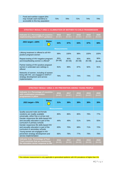| - Food and nutrition support (this<br>may include cash transfers) is<br>accessible to this key population | 73% | 78% | 72% | 74% | 79% |
|-----------------------------------------------------------------------------------------------------------|-----|-----|-----|-----|-----|
|-----------------------------------------------------------------------------------------------------------|-----|-----|-----|-----|-----|

| STRATEGY RESULT AREA 2: ELIMINATION OF MOTHER-TO-CHILD-TRANSMISSION                                                                  |               |                  |                  |                  |                  |                  |  |
|--------------------------------------------------------------------------------------------------------------------------------------|---------------|------------------|------------------|------------------|------------------|------------------|--|
| Indicator 2.1: Percentage of countries<br>implementing latest EMTCT guidance                                                         |               | 2016<br>$[N=87]$ | 2017<br>$[N=87]$ | 2018<br>$[N=87]$ | 2019<br>$[N=87]$ | 2020<br>$[N=87]$ |  |
| 2021 target-100%                                                                                                                     | <b>Status</b> | 64%              | 67%              | 63%              | 67%              | 68%              |  |
| <b>Measurements</b>                                                                                                                  |               |                  |                  |                  |                  |                  |  |
| Lifelong treatment is offered to all HIV-<br>positive pregnant women                                                                 |               | 99%              | 100%             | 98%              | 100%             | 100%             |  |
| Repeat testing of HIV-negative pregnant<br>and breastfeeding women is offered <sup>5</sup>                                           |               | 85%<br>$[N=39]$  | 90%<br>$[N=39]$  | 92%<br>$[N=39]$  | 90%<br>$[N=39]$  | 90%<br>$[N=40]$  |  |
| Partner testing of HIV-positive pregnant<br>women in antenatal care settings is<br>offered                                           |               | 91%              | 89%              | 87%              | 92%              | 91%              |  |
| Networks of women, including of women<br>living with HIV, are engaged in EMTCT<br>strategy development and service<br>implementation |               | 76%              | 76%              | 74%              | 74%              | 74%              |  |

| <b>STRATEGY RESULT AREA 3: HIV PREVENTION AMONG YOUNG PEOPLE</b>                                                          |               |                     |                  |                  |                  |                  |  |
|---------------------------------------------------------------------------------------------------------------------------|---------------|---------------------|------------------|------------------|------------------|------------------|--|
| Indicator 3.1: Percentage of countries<br>with combination prevention<br>programmes in place                              |               | 2016<br>$[N=87]$    | 2017<br>$[N=87]$ | 2018<br>$[N=87]$ | 2019<br>$[N=87]$ | 2020<br>$[N=87]$ |  |
| 2021 target-70%                                                                                                           | <b>Status</b> | 31%                 | 38%              | 38%              | 38%              | 39%              |  |
|                                                                                                                           |               | <b>Measurements</b> |                  |                  |                  |                  |  |
| Quality-assured male and female<br>condoms are readily available<br>universally, either free or at low cost               |               | 80%                 | 86%              | 80%              | 78%              | <b>77%</b>       |  |
| Gender responsive life skills-based HIV<br>and sexuality education is part of the<br>curriculum in primary schools        |               | 44%                 | 49%              | 51%              | 54%              | 55%              |  |
| Gender responsive life skills-based HIV<br>and sexuality education is part of the<br>curriculum in secondary schools      |               | 63%                 | 70%              | 68%              | 71%              | 72%              |  |
| Young women are engaged in HIV<br>prevention strategy development and<br>service implementation                           |               | 66%                 | 78%              | 77%              | 79%              | 78%              |  |
| Indicator 3.2a: Percentage of Fast-<br><b>Track countries that are monitoring</b><br>the education sector response to HIV |               | 2016<br>$[N=33]$    | 2017<br>$[N=33]$ | 2018<br>$[N=33]$ | 2019<br>$[N=33]$ | 2020<br>$[N=33]$ |  |

<sup>5</sup> This indicator measurement is only applicable to generalised epidemic with HIV prevalence of higher than 1%.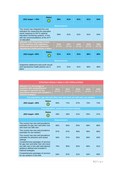| 2021 target -- 70%                                                                                                                                                                                                   | <b>Status</b> | 58%                 | 61%              | 61%              | 61%              | 64%              |  |
|----------------------------------------------------------------------------------------------------------------------------------------------------------------------------------------------------------------------|---------------|---------------------|------------------|------------------|------------------|------------------|--|
|                                                                                                                                                                                                                      |               | <b>Measurements</b> |                  |                  |                  |                  |  |
| The country has integrated the core<br>indicators for measuring the education<br>sector response to HIV in national<br>education monitoring systems, in line<br>with the recommendations of the IATT<br>on education |               | 58%                 | 61%              | 61%              | 61%              | 64%              |  |
| Indicator 3.2b: Percentage of Fast-<br><b>Track countries with supportive</b><br>adolescent and youth sexual and<br>reproductive health policies in place                                                            |               | 2016<br>$[N=33]$    | 2017<br>$[N=33]$ | 2018<br>$[N=33]$ | 2019<br>$[N=33]$ | 2020<br>$[N=33]$ |  |
| 2021 target-90%                                                                                                                                                                                                      | <b>Status</b> | 91%                 | 91%              | 91%              | 88%              | 88%              |  |
| <b>Measurements</b>                                                                                                                                                                                                  |               |                     |                  |                  |                  |                  |  |
| Supportive adolescent and youth sexual<br>and reproductive health policies are in<br>place                                                                                                                           |               | 91%                 | 91%              | 91%              | 88%              | 88%              |  |

| <b>STRATEGY RESULT AREA 4: KEY POPULATIONS</b>                                                                                                                                 |               |                  |                                             |                  |                  |                  |  |  |
|--------------------------------------------------------------------------------------------------------------------------------------------------------------------------------|---------------|------------------|---------------------------------------------|------------------|------------------|------------------|--|--|
| Indicator 4.1: Percentage of<br>countries with comprehensive<br>packages of services for key<br>populations defined and included in<br>national strategies                     |               | 2016<br>$[N=87]$ | 2017<br>$[N=87]$                            | 2018<br>$[N=87]$ | 2019<br>$[N=87]$ | 2020<br>$[N=87]$ |  |  |
| Key population: gay men and other men who have sex with men, sex workers                                                                                                       |               |                  |                                             |                  |                  |                  |  |  |
| 2021 target-90%                                                                                                                                                                | <b>Status</b> | 66%              | 71%                                         | 67%              | 74%              | 74%              |  |  |
|                                                                                                                                                                                |               |                  | Key population: prisons and closed settings |                  |                  |                  |  |  |
| 2021 target-50%                                                                                                                                                                | <b>Status</b> | 49%              | 49%                                         | 51%              | 55%              | 57%              |  |  |
| <b>Measurements</b>                                                                                                                                                            |               |                  |                                             |                  |                  |                  |  |  |
| The country has size and prevalence<br>estimates for gay men and other men<br>who have sex with men                                                                            |               | 80%              | 84%                                         | 82%              | 89%              | 86%              |  |  |
| The country has size and prevalence<br>estimates for sex workers                                                                                                               |               | 87%              | 87%                                         | 90%              | 95%              | 86%              |  |  |
| The country has size and prevalence<br>estimates for prisoners and closed<br>settings                                                                                          |               | 56%              | 57%                                         | 56%              | 60%              | 63%              |  |  |
| Comprehensive packages of services<br>for gay men and other men who have<br>sex with men in line with international<br>guidance defined and included in<br>national strategies |               | 75%              | 80%                                         | 82%              | 86%              | 91%              |  |  |
| Comprehensive packages of services<br>for sex workers in line with                                                                                                             |               | 84%              | 87%                                         | 91%              | 93%              | 90%              |  |  |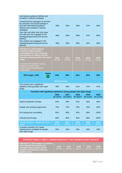| international guidance defined and<br>included in national strategies                                                                                                                                                                                                       |                     |                     |                     |                     |                     |
|-----------------------------------------------------------------------------------------------------------------------------------------------------------------------------------------------------------------------------------------------------------------------------|---------------------|---------------------|---------------------|---------------------|---------------------|
| Comprehensive packages of services<br>for prisoners and closed settings in<br>line with international guidance<br>defined and included in national<br>strategies                                                                                                            | 55%                 | 56%                 | 60%                 | 67%                 | 69%                 |
| Gay men and other men who have<br>sex with men are engaged in HIV<br>strategy/programming and service<br>delivery                                                                                                                                                           | 89%                 | 89%                 | 89%                 | 87%                 | 89%                 |
| Sex workers are engaged in HIV<br>strategy/programming and service<br>delivery                                                                                                                                                                                              | 90%                 | 90%                 | 89%                 | 87%                 | 90%                 |
| Indicator 4.2: Percentage of<br>countries implementing in<br>combination the most essential<br>interventions to reduce new HIV<br>infections among people who inject<br>drugs<br>Countries with epidemic among<br>people who inject drugs,<br>implementing interventions in | 2016<br>$[N=33]$    | 2017<br>$[N=35]$    | 2018<br>$[N=36]$    | 2019<br>$[N=41]$    | 2020<br>$[N=41]$    |
| combination                                                                                                                                                                                                                                                                 |                     |                     |                     |                     |                     |
| <b>Status</b><br>2021 target-60%                                                                                                                                                                                                                                            | 64%                 | 60%                 | 61%                 | <b>56%</b>          | 63%                 |
|                                                                                                                                                                                                                                                                             | <b>Measurements</b> |                     |                     |                     |                     |
| The country has a significant<br>epidemic among people who inject<br>drugs                                                                                                                                                                                                  | 38%                 | 40%                 | 41%                 | 47%                 | 47%                 |
| Countries with significant epidemics among people who inject drugs                                                                                                                                                                                                          |                     |                     |                     |                     |                     |
|                                                                                                                                                                                                                                                                             | 2016<br>$[N=33/87]$ | 2017<br>$[N=35/87]$ | 2018<br>$[N=36/87]$ | 2019<br>$[N=41/87]$ | 2020<br>$[N=41/87]$ |
| Opioid substitution therapy                                                                                                                                                                                                                                                 | 64%                 | 63%                 | 61%                 | 56%                 | 66%                 |
| Needle and syringe programmes                                                                                                                                                                                                                                               | 79%                 | 74%                 | 78%                 | 76%                 | 83%                 |
| HIV testing and counselling                                                                                                                                                                                                                                                 | 85%                 | 86%                 | 92%                 | 98%                 | 100%                |
| Antiretroviral therapy                                                                                                                                                                                                                                                      | 88%                 | 86%                 | 94%                 | 98%                 | 100%                |
| Gender-sensitive - people who inject<br>drugs                                                                                                                                                                                                                               | 2016<br>[N=87]      | 2017<br>$[N=87]$    | 2018<br>$[N=87]$    | 2019<br>$[N=87]$    | 2020<br>$[N=87]$    |
| A gender-sensitive HIV needs<br>assessment is available for people<br>who inject drugs                                                                                                                                                                                      | 20%                 | 30%                 | 29%                 | 30%                 | 29%                 |

| STRATEGY RESULT AREA 5: GENDER INEQUALITY AND GENDER-BASED VIOLENCE                                                                                                 |                    |                    |                    |                    |                    |
|---------------------------------------------------------------------------------------------------------------------------------------------------------------------|--------------------|--------------------|--------------------|--------------------|--------------------|
| Indicator 5.1: Percentage of countries<br>with national HIV policies and<br>strategies that promote gender<br>equality and transform unequal<br><b>gender norms</b> | 2016<br>$IN = 871$ | 2017<br>$IN = 871$ | 2018<br>$IN = 871$ | 2019<br>$IN = 871$ | 2020<br>$IN = 871$ |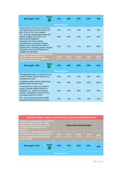| 2021 target-70%                                                                                                                                                                                                      | <b>Status</b> | 47%                 | 60%              | <b>57%</b>       | 68%              | 70%              |
|----------------------------------------------------------------------------------------------------------------------------------------------------------------------------------------------------------------------|---------------|---------------------|------------------|------------------|------------------|------------------|
|                                                                                                                                                                                                                      |               | <b>Measurements</b> |                  |                  |                  |                  |
| Assessments of the social, economic<br>and legal factors that put women and<br>girls at risk of HIV are available                                                                                                    |               | 74%                 | 77%              | 75%              | 78%              | 78%              |
| Sex- and age-disaggregated data and<br>gender analysis are used in HIV<br>planning and budgeting                                                                                                                     |               | 85%                 | 89%              | 91%              | 92%              | 93%              |
| Structural and social change<br>interventions to transform unequal<br>gender norms and systemic barriers<br>implemented, including gender-sensitive<br>education curricula and initiatives to<br>engage men and boys |               | 62%                 | 72%              | 71%              | 80%              | 80%              |
| <b>Indicator 5.2: Percentage of countries</b><br>with laws and/or policies and<br>services to prevent and address<br>gender-based violence                                                                           |               | 2016<br>$[N=87]$    | 2017<br>$[N=87]$ | 2018<br>$[N=87]$ | 2019<br>$[N=87]$ | 2020<br>$[N=87]$ |
| 2021 target-70%                                                                                                                                                                                                      | <b>Status</b> | 43%                 | 54%              | 60%              | 59%              | 61%              |
|                                                                                                                                                                                                                      |               | <b>Measurements</b> |                  |                  |                  |                  |
| Disaggregated data on prevalence and<br>nature of gender-based violence are<br>available and used                                                                                                                    |               | 63%                 | 70%              | 72%              | 78%              | 80%              |
| Legislation and/or policies addressing<br>gender-based violence exist                                                                                                                                                |               | 95%                 | 98%              | 100%             | 100%             | 100%             |
| A mechanism to report and address<br>cases of gender-based violence is<br>available, e.g., special counselling<br>centres, ombudsman, special courts,<br>and legal support for victims                               |               | 94%                 | 95%              | 95%              | 95%              | 93%              |
| HIV, sexual and reproductive health,<br>and gender-based violence services                                                                                                                                           |               | 67%                 | 72%              | 77%              | 74%              | 76%              |

| <b>STRATEGY RESULT AREA 6: HUMAN RIGHTS, STIGMA AND DISCRIMINATION</b>                                                                                                  |                     |                               |                    |                          |                    |                    |  |
|-------------------------------------------------------------------------------------------------------------------------------------------------------------------------|---------------------|-------------------------------|--------------------|--------------------------|--------------------|--------------------|--|
| Indicator 6.1: Percentage of countries<br>positively addressing laws and/or<br>policies presenting barriers to HIV<br>prevention, treatment and care<br><b>services</b> |                     | <b>INDICATOR UNDER REVIEW</b> |                    |                          |                    |                    |  |
| Indicator 6.2: Percentage of countries<br>with mechanisms in place providing<br>access to legal support for people<br>living with HIV                                   |                     | 2016<br>$IN = 871$            | 2017<br>$[N = 87]$ | 2018<br>$\sqrt{N} = 871$ | 2019<br>$[N = 87]$ | 2020<br>$[N = 87]$ |  |
| 2021 target-70%                                                                                                                                                         | <b>Status</b>       | 53%                           | 57%                | 61%                      | 64%                | 66%                |  |
|                                                                                                                                                                         | <b>Measurements</b> |                               |                    |                          |                    |                    |  |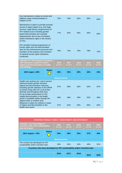| Any mechanisms in place to record and<br>address cases of discrimination in<br>relation to HIV                                                                                                                                                                                                              | 72%              | 79%                 | 82%              | 83%              | 84%              |     |
|-------------------------------------------------------------------------------------------------------------------------------------------------------------------------------------------------------------------------------------------------------------------------------------------------------------|------------------|---------------------|------------------|------------------|------------------|-----|
| Mechanisms in place to provide promote<br>access to legal support (e.g. free legal<br>services, legal literacy programmes) for<br>HIV-related issues including gender-<br>based discrimination (for example<br>dispossession due to loss of property<br>and/or inheritance rights in the context<br>of HIV) | 77%              | 84%                 | 83%              | 83%              | 84%              |     |
| HIV sensitive training programmes on<br>human rights and non-discrimination<br>laws for law enforcement personnel and<br>members of the judiciary and members<br>of national human rights institutions<br>conducted                                                                                         | 70%              | 72%                 | 76%              | 78%              | 75%              |     |
| Indicator 6.3: Percentage of countries<br>with measures in place to reduce<br>stigma and discrimination in health-<br>care settings                                                                                                                                                                         | 2016<br>$[N=87]$ | 2017<br>$[N=87]$    | 2018<br>$[N=87]$ | 2019<br>$[N=87]$ | 2020<br>$[N=87]$ |     |
| 2021 target-60%                                                                                                                                                                                                                                                                                             | <b>Status</b>    | 28%                 | 30%              | 30%              | 32%              | 33% |
|                                                                                                                                                                                                                                                                                                             |                  | <b>Measurements</b> |                  |                  |                  |     |
| Health care workers pre- and in-service<br>training includes gender-sensitive<br>stigma and discrimination reduction,<br>including specific attention to the SRHR<br>of women living with HIV in all of their<br>diversity and throughout their lives                                                       | 57%              | 59%                 | 63%              | 64%              | 67%              |     |
| An up-to-date assessment on HIV-<br>related discrimination in the health<br>sector is available (either through the<br>Stigma Index or another tool)                                                                                                                                                        | 49%              | 49%                 | 49%              | 52%              | 48%              |     |
| Measures in place for redress in cases<br>of stigma and discrimination in the<br>health-care sector                                                                                                                                                                                                         |                  | 57%                 | 62%              | 63%              | 66%              | 64% |

| <b>STRATEGY RESULT AREA 7: INVESTMENT AND EFFICIENCY</b>                               |                  |                     |                  |                  |                  |     |  |  |  |  |
|----------------------------------------------------------------------------------------|------------------|---------------------|------------------|------------------|------------------|-----|--|--|--|--|
| Indicator 7.1a: Percentage of<br>countries with a HIV sustainability<br>plan developed | 2016<br>$[N=26]$ | 2017<br>$[N=28]$    | 2018<br>$[N=37]$ | 2019<br>$[N=43]$ | 2020<br>$[N=45]$ |     |  |  |  |  |
| 2021 targets-70%                                                                       | <b>Status</b>    | 30%                 | <b>29%</b>       | 32%              | 37%              | 40% |  |  |  |  |
|                                                                                        |                  | <b>Measurements</b> |                  |                  |                  |     |  |  |  |  |
| The country has developed an HIV<br>sustainability and/or transition plan              |                  | 30%                 | 32%              | 43%              | 49%              | 52% |  |  |  |  |
| Countries who have developed an HIV sustainability and/or transition plan              |                  |                     |                  |                  |                  |     |  |  |  |  |
| 2016<br>2017<br>2018<br>2019<br>2020                                                   |                  |                     |                  |                  |                  |     |  |  |  |  |
|                                                                                        |                  |                     |                  |                  |                  |     |  |  |  |  |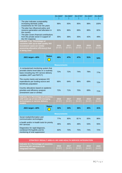|                                                                                                                                                                  |                     | [N=26/87            | [N=28/87         | $[N=37/87]$      | $[N=43/87]$      | $IN = 45/87$     |
|------------------------------------------------------------------------------------------------------------------------------------------------------------------|---------------------|---------------------|------------------|------------------|------------------|------------------|
| The plan indicates sustainability<br>increasing domestic public<br>investments for HIV over the years                                                            |                     | 96%                 | 93%              | 95%              | 98%              | 100%             |
| The plan has influenced policy and<br>resource generation and allocation in<br>the country                                                                       |                     | 92%                 | 86%              | 89%              | 88%              | 82%              |
| - The plan covers financial contributions<br>from the private sector in support of<br>the HIV response                                                           |                     | 35%                 | 36%              | 35%              | 42%              | 49%              |
| Indicator 7.1b: Percentage of<br>countries with up-to-date quality HIV<br>investment cases (or similar<br>assessing allocative efficiency) that<br>is being used |                     | 2016<br>$[N=87]$    | 2017<br>$[N=87]$ | 2018<br>$[N=87]$ | 2019<br>$[N=87]$ | 2020<br>$[N=87]$ |
| 2021 target-80%                                                                                                                                                  | <b>Status</b>       | 48%                 | 47%              | 47%              | 51%              | 54%              |
|                                                                                                                                                                  |                     | <b>Measurements</b> |                  |                  |                  |                  |
| A computerized monitoring system that<br>provides district level data on a routinely<br>basis including key HIV service delivery<br>variables (ART and PMTCT)    |                     | 72%                 | 72%              | 74%              | 78%              | 77%              |
| The country tracks and analyses HIV<br>expenditures per funding source and<br>beneficiary population                                                             |                     | 66%                 | 64%              | 66%              | 69%              | 72%              |
| Country allocations based on epidemic<br>priorities and efficiency analysis<br>(investment case or similar)                                                      |                     | 72%                 | 71%              | 70%              | 69%              | 71%              |
| <b>Indicator 7.2: Percentage of countries</b><br>with scale-up of new and emerging<br>technologies or service delivery<br>models                                 |                     | 2016<br>[N=87]      | 2017<br>$[N=87]$ | 2018<br>$[N=87]$ | 2019<br>[N=87]   | 2020<br>$[N=87]$ |
| 2021 target-60%                                                                                                                                                  | <b>Status</b>       | 32%                 | 34%              | 36%              | 40%              | 41%              |
|                                                                                                                                                                  | <b>Measurements</b> |                     |                  |                  |                  |                  |
| Social media/information and<br>communication technologies                                                                                                       |                     | 77%                 | 80%              | 82 %             | 83%              | 86%              |
| e-health and/or m-health tools for priority<br><b>HIV</b> services                                                                                               |                     | 46%                 | 46%              | 48%              | 53%              | 55%              |
| Diagnostics for rapid diagnosis,<br>combined HIV/syphilis and for<br>monitoring of viral suppression                                                             |                     | 60%                 | 70%              | 75%              | 74%              | 72%              |

| <b>STRATEGY RESULT AREA 8: HIV AND HEALTH SERVICE INTEGRATION</b>                            |                  |                    |                    |                    |                           |  |  |  |
|----------------------------------------------------------------------------------------------|------------------|--------------------|--------------------|--------------------|---------------------------|--|--|--|
| Indicator 8.1: Percentage of countries<br>delivering HIV services in an<br>integrated manner | 2016<br>$[N=87]$ | 2017<br>$IN = 871$ | 2018<br>$IN = 871$ | 2019<br>$IN = 871$ | <b>2020</b><br>$IN = 871$ |  |  |  |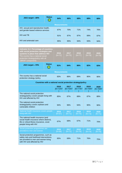| 2021 target-80%                                                            | <b>Status</b> | 64% | 66% | 68% | <b>68%</b> | 68% |  |  |
|----------------------------------------------------------------------------|---------------|-----|-----|-----|------------|-----|--|--|
| <b>Measurements</b>                                                        |               |     |     |     |            |     |  |  |
| HIV, sexual and reproductive health,<br>and gender-based violence services |               | 67% | 70% | 71% | 74%        | 76% |  |  |
| HIV and TB                                                                 |               | 91% | 87% | 87% | 89%        | 87% |  |  |
| HIV and antenatal care                                                     |               | 95% | 95% | 94% | 93%        | 94% |  |  |

| Indicator 8.2: Percentage of countries<br>with social protection strategies and<br>systems in place that address HIV<br>The country has a national social<br>protection strategy/policy with all<br><b>UBRAF</b> components |  | 2016<br>$[N=72]$    | 2017<br>$[N=75]$ | 2018<br>$[N=77]$ | 2019<br>$[N=78]$ | 2020<br>$[N=78]$ |
|-----------------------------------------------------------------------------------------------------------------------------------------------------------------------------------------------------------------------------|--|---------------------|------------------|------------------|------------------|------------------|
| <b>Status</b><br>2021 target-70%                                                                                                                                                                                            |  | 81%                 | 84%              | 86%              | 82%              | 83%              |
|                                                                                                                                                                                                                             |  | <b>Measurements</b> |                  |                  |                  |                  |
| The country has a national social<br>protection strategy /policy                                                                                                                                                            |  | 83%                 | 86%              | 89%              | 90%              | 90%              |

| Countries with a national social protection strategy/policy                                                                                                |                     |                     |                     |                     |                     |  |  |  |  |
|------------------------------------------------------------------------------------------------------------------------------------------------------------|---------------------|---------------------|---------------------|---------------------|---------------------|--|--|--|--|
|                                                                                                                                                            | 2016<br>$[N=72/87]$ | 2017<br>$[N=75/87]$ | 2018<br>$[N=77/87]$ | 2019<br>$[N=78/87]$ | 2020<br>$[N=78/87]$ |  |  |  |  |
| The national social protection<br>strategy/policy covers people living with<br>HIV and affected by HIV                                                     | 85%                 | 87%                 | 88%                 | 87%                 | 88%                 |  |  |  |  |
| The national social protection<br>strategy/policy covers orphans and<br>vulnerable children                                                                | 94%                 | 96%                 | 94%                 | 90%                 | 90%                 |  |  |  |  |
| National health insurance covers people<br>living with HIV                                                                                                 | 2016<br>$[N=67]$    | 2017<br>$[N=71]$    | 2018<br>$[N=75]$    | 2019<br>$[N=73]$    | 2020<br>$[N=71]$    |  |  |  |  |
| The national health insurance (and<br>social health insurance where distinct),<br>life or critical illness insurance, cover<br>people living with HIV      | 67%                 | 68%                 | 67%                 | 71%                 | 70%                 |  |  |  |  |
| Social protection programmes are<br>provided to men and women                                                                                              | 2016<br>$[N=68]$    | 2017<br>$[N=72]$    | 2018<br>$[N=76]$    | 2019<br>$[N=74]$    | 2020<br>$[N=76]$    |  |  |  |  |
| Social protection programmes, such as<br>safety nets and livelihood interventions,<br>are provided to men and women living<br>with HIV and affected by HIV | 65%                 | 69%                 | 71%                 | 76%                 | 75%                 |  |  |  |  |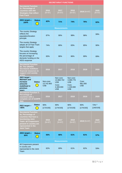|                                                                                                                                                                                                           |                             |                                 |                                                               |                                                              | <b>SECRETARIAT FUNCTIONS</b> |                    |  |  |  |  |  |  |  |
|-----------------------------------------------------------------------------------------------------------------------------------------------------------------------------------------------------------|-----------------------------|---------------------------------|---------------------------------------------------------------|--------------------------------------------------------------|------------------------------|--------------------|--|--|--|--|--|--|--|
| <b>Secretariat Function</b><br>1c. Percentage of<br>countries with HIV<br><b>Strategies that reflect</b><br><b>Fast-Track</b>                                                                             |                             | 2016<br>$[N=87]$                | 2017<br>$[N=87]$                                              | 2018<br>$[N=87]$                                             | 2019 [N=87]                  | 2020<br>$[N=87]$   |  |  |  |  |  |  |  |
| 2021 target-<br>100%                                                                                                                                                                                      | <b>Status</b>               | 62%                             | 71%                                                           | 74%                                                          | 76%                          | 82%                |  |  |  |  |  |  |  |
|                                                                                                                                                                                                           |                             |                                 | <b>Measurements</b>                                           |                                                              |                              |                    |  |  |  |  |  |  |  |
| The country Strategy<br>reflects the<br>population/location<br>principle                                                                                                                                  |                             | 87%                             | 90%                                                           | 98%                                                          | 98%                          | 99%                |  |  |  |  |  |  |  |
| The country Strategy<br>adopts all 10 Fast-Track<br>targets that apply                                                                                                                                    |                             | 74%                             | 80%                                                           | 83%                                                          | 85%                          | 90%                |  |  |  |  |  |  |  |
| The country Strategy<br>focuses on increasing<br>the percentage of<br>domestic funding on the<br>AIDS response                                                                                            |                             | 83%                             | 86%                                                           | 86%                                                          | 89%                          | 89%                |  |  |  |  |  |  |  |
| <b>Secretariat Function</b><br>2b. The UNAIDS<br><b>Secretariat mobilizes</b><br>financial resources to<br>support civil society<br>action                                                                |                             | 2016                            | 2017                                                          | 2018                                                         | 2019                         | 2020               |  |  |  |  |  |  |  |
| $2021$ target -<br><b>Maintain and</b><br>increase<br>amounts<br>mobilised in<br>previous<br>years                                                                                                        | <b>Status</b><br>in<br>List | Non-core:<br>13.742.963<br>US\$ | Non-core:<br>13.868.702<br>US\$<br>Core:<br>4.400.000<br>US\$ | Non-core:<br>3.089.776<br>US\$<br>Core:<br>1.100.000<br>US\$ | Core:<br>981.000<br>US\$     |                    |  |  |  |  |  |  |  |
| <b>Secretariat Function 3.</b><br>Percentage of<br>countries with a<br>complete set of GARPR<br>data                                                                                                      |                             | 2016                            | 2017                                                          | 2018                                                         | 2019                         | 2020               |  |  |  |  |  |  |  |
| 2021 target-<br>>95%                                                                                                                                                                                      | <b>Status</b>               | 90%<br>[173/193]                | 90%<br>[174/193]                                              | 90%<br>[173/193]                                             | 90%<br>[174/193]             | 73% 6<br>[140/193] |  |  |  |  |  |  |  |
| <b>Secretariat Function</b><br>4a. Percentage of<br>countries that have a<br><b>functioning Joint</b><br><b>Team: all Cosponsors</b><br>present in country are<br>represented in the<br><b>Joint Team</b> |                             | 2016<br>$[N=87]$                | 2017<br>$[N=87]$                                              | 2018<br>$[N=87]$                                             | 2019 [N=87]                  | 2020<br>$[N=87]$   |  |  |  |  |  |  |  |
| 2021 target-<br>90%                                                                                                                                                                                       | <b>Status</b><br>i<br>List  | 55%                             | 66%                                                           | 61%                                                          | 61%                          | 57%                |  |  |  |  |  |  |  |
|                                                                                                                                                                                                           |                             |                                 | <b>Measurements</b>                                           |                                                              |                              |                    |  |  |  |  |  |  |  |
| All Cosponsors present<br>in country are<br>represented in the Joint<br>Team                                                                                                                              |                             | 62%                             | 69%                                                           | 61%                                                          | 62%                          | 59%                |  |  |  |  |  |  |  |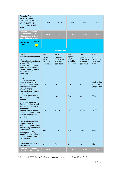| The Joint Team<br>developed and is<br>implementing the Joint<br>UN Programme of<br>Support on HIV and<br><b>AIDS</b>                                                                                                   |               | 87%                                                | 89%                                                    | 89%                                                | 89%                                                    | 92%                                                |
|------------------------------------------------------------------------------------------------------------------------------------------------------------------------------------------------------------------------|---------------|----------------------------------------------------|--------------------------------------------------------|----------------------------------------------------|--------------------------------------------------------|----------------------------------------------------|
| <b>Secretariat Function</b><br>5a. Achievement of<br>effectiveness criteria<br>and efficiency targets                                                                                                                  |               | 2016                                               | 2017                                                   | 2018                                               | 2019                                                   | 2020                                               |
| 2021 target-<br>$-100%$                                                                                                                                                                                                | <b>Status</b> |                                                    |                                                        |                                                    |                                                        |                                                    |
|                                                                                                                                                                                                                        |               |                                                    | <b>Measurements</b>                                    |                                                    |                                                        |                                                    |
| <b>UBRAF</b><br>expenditure/implementati<br><b>on</b><br>- Rate of implementation<br>of core UBRAF<br>resources (Secretariat<br>and Cosponsors) at 99%<br>(actual spending against<br>allocation for the<br>biennium). |               | 88%<br>(against<br>2016<br>available<br>core fund) | 85%<br>(against<br>2016-2017<br>available<br>core fund | 90%<br>(against<br>2018<br>available<br>core fund) | 95%<br>(against<br>2018-2019<br>available<br>core fund | 92%<br>(against<br>2020 core<br>available<br>fund  |
| Audit<br>Unqualified audited<br>financial statements<br>(Auditors issue a clean<br>audit opinion on the<br><b>UNAIDS</b> financial<br>statements every year).                                                          |               | Yes                                                | Yes                                                    | Yes                                                | Yes                                                    | <b>Auditor final</b><br>report not<br>yet provided |
| Cost control measures<br>- Travel expenditure kept<br>below the annual ceiling<br>for staff.                                                                                                                           |               | Yes                                                | Yes                                                    | Yes                                                | Yes                                                    | Yes                                                |
| 4. Human resources<br>Staff and budget overall<br>distribution in line with<br>regulations<br>(decentralised/country<br>Secretariat model: 70/30<br>country versus global<br>allocation).                              |               | 71:29                                              | 71:29                                                  | 70:30                                              | 70:30                                                  | 70:30                                              |
| High level of compliance<br>for performance<br>evaluation reports (PER)<br>maintained (Performance<br>and Learning<br>Management (PALM)<br>reports) (completed by at<br>least 95% of fixed-term<br>staff members).     |               | 99%                                                | 99%                                                    | 97%                                                | 97%                                                    | 95%                                                |
| Time to hire kept at less<br>than 3 months                                                                                                                                                                             |               | <b>No</b>                                          | <b>No</b>                                              | <b>No</b>                                          | <b>No</b>                                              | <b>No</b>                                          |
| <b>Secretariat Function</b><br>5b. Gender balance at                                                                                                                                                                   |               | 2016                                               | 2017                                                   | 2018                                               | 2019                                                   | 2020                                               |

*<sup>6</sup> Decrease in 2020 due to significantly strained resources during Covid-19 pandemic.*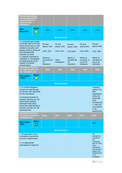| P5 and above levels<br>and among UNAIDS<br><b>Country Directors</b><br>achieved and<br>maintained                                                                                   |               |                                             |                                         |                                                    |                                                          |                                                                                                                                                                   |
|-------------------------------------------------------------------------------------------------------------------------------------------------------------------------------------|---------------|---------------------------------------------|-----------------------------------------|----------------------------------------------------|----------------------------------------------------------|-------------------------------------------------------------------------------------------------------------------------------------------------------------------|
| 2021<br>target50%                                                                                                                                                                   | <b>Status</b> | 41%                                         | 47%                                     | 46%                                                | 48%                                                      | 47%                                                                                                                                                               |
|                                                                                                                                                                                     |               |                                             | <b>Measurements</b>                     |                                                    |                                                          |                                                                                                                                                                   |
| 1. Increased percentage<br>of female staff at P5 and<br>above levels and in UCD<br>positions annually until<br>gender parity is achieved<br>and subsequently<br>maintain at parity. |               | P5 and<br>above: 44%<br><b>UCD: 41%</b>     | P5 and<br>above: 43%<br><b>UCD: 43%</b> | P <sub>5</sub> and<br>above: 43%<br><b>UCD:48%</b> | P5 and<br>above:46%<br><b>UCD: 48%</b>                   | P <sub>5</sub> and<br>above: 46%<br><b>UCD: 48%</b>                                                                                                               |
| 2. UNAIDS reported as<br>"meeting" or "exceeding"<br>all requirements of the<br>related UN-SWAP<br>annual report                                                                    |               | Meets or<br>exceeds the<br>15<br>indicators | 100%<br>compliance                      | Meets or<br>exceeds all<br>16<br>indicators        | Meets or<br>exceeds 14<br>out of 16<br><i>indicators</i> | Meets or<br>exceeds 13<br>out of 16<br><i>indicators</i>                                                                                                          |
| <b>Secretariat Function</b><br>5c. Implementation of<br>risk mitigation plan                                                                                                        |               | 2016                                        | 2017                                    | 2018                                               | 2019                                                     | 2020                                                                                                                                                              |
| 2021 target-<br>$-100%$                                                                                                                                                             | <b>Status</b> |                                             |                                         |                                                    |                                                          |                                                                                                                                                                   |
|                                                                                                                                                                                     |               |                                             | <b>Measurements</b>                     |                                                    |                                                          |                                                                                                                                                                   |
| 1. % of Risk Mitigation<br>measures implemented<br>for the top risks identified<br>for the Secretariat                                                                              |               |                                             |                                         |                                                    |                                                          | Tracking<br>system not<br>fully<br>operational                                                                                                                    |
| 2. Increased number of<br>projects carrying out risk<br>assessment (project<br>proposals with value<br>more than US\$ 50,000 to<br>include a section on risk<br>assessments)        |               |                                             |                                         |                                                    |                                                          | 100% All<br>proposals<br>$(non-$<br>commercial)<br>> USD 25k<br>now require<br>a risk<br>assessment                                                               |
| <b>Secretariat Function</b><br>5d. Implementation of<br>evaluation plan                                                                                                             |               | 2016                                        | 2017                                    | 2018                                               | 2019                                                     | 2020                                                                                                                                                              |
| 2021 target-<br>$-80%$                                                                                                                                                              | <b>Status</b> |                                             |                                         |                                                    |                                                          | 80%                                                                                                                                                               |
|                                                                                                                                                                                     |               |                                             | <b>Measurements</b>                     |                                                    |                                                          |                                                                                                                                                                   |
| 1. At least 80% of the<br>evaluations planned for<br>the year implemented<br>2. An appropriate<br>management response                                                               |               |                                             |                                         |                                                    |                                                          | All<br>evaluations<br>included in<br>the<br>evaluation<br>plan for 2020<br>were<br>completed<br>with minimal<br>delays and<br>implementati<br>on of<br>evaluation |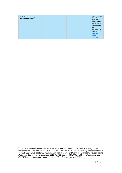| to evaluation<br>recommendations <sup>7</sup> |  |  | recommendat<br>ions is<br>tracked. A<br>management<br>response is<br>available for<br>all<br>evaluations<br>(see UNAIDS<br>Evaluation<br>office |
|-----------------------------------------------|--|--|-------------------------------------------------------------------------------------------------------------------------------------------------|
|                                               |  |  | UNAIDS)                                                                                                                                         |

<sup>7</sup> *Note: At its 44th meeting in June 2019, the PCB approved UNAIDS new evaluation policy, which formalized the establishment of an evaluation office as a structurally and functionally independent unit of UNAIDS Secretariat, positioned independently from management functions, and reporting directly to the PCB. At its 45th meeting in December 2019 the PCB approved UNAIDS first biennial evaluation plan (for 2020-2021). Accordingly, reporting in the table only covers the year 2020.*